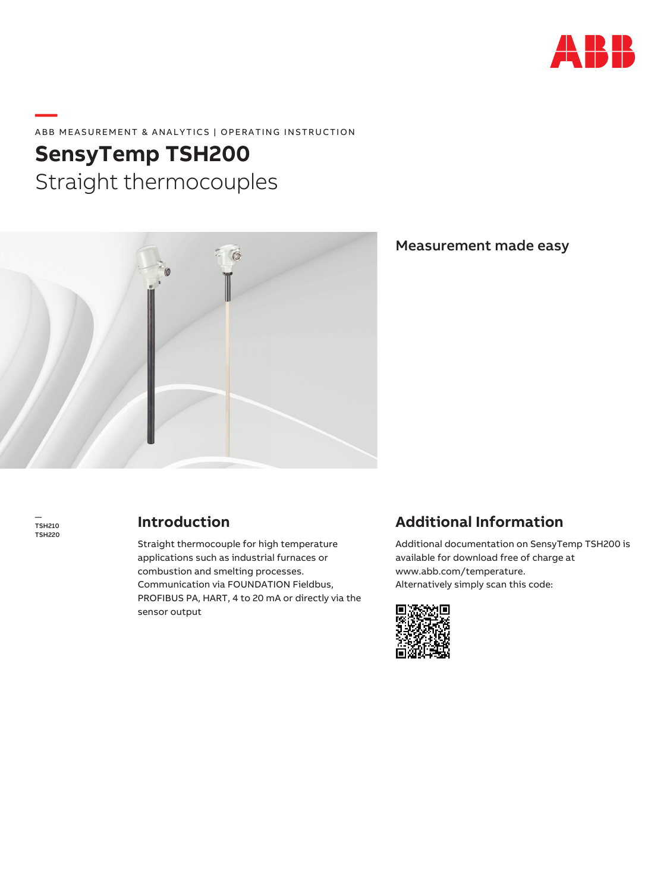

## **—**  ABB MEASUREMENT & ANALYTICS | OPERATING INSTRUCTION

# **SensyTemp TSH200**  Straight thermocouples



Measurement made easy

— TSH210 TSH220

## **Introduction**

Straight thermocouple for high temperature applications such as industrial furnaces or combustion and smelting processes. Communication via FOUNDATION Fieldbus, PROFIBUS PA, HART, 4 to 20 mA or directly via the sensor output

## **Additional Information**

Additional documentation on SensyTemp TSH200 is available for download free of charge at www.abb.com/temperature. Alternatively simply scan this code:

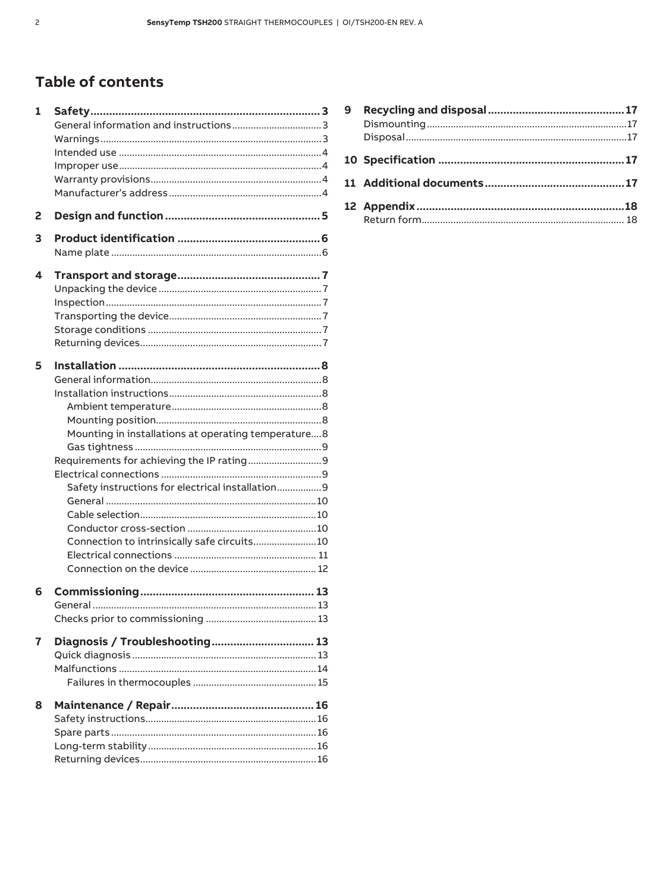## Table of contents

| 1 |                                                     |  |
|---|-----------------------------------------------------|--|
|   |                                                     |  |
|   |                                                     |  |
|   |                                                     |  |
|   |                                                     |  |
|   |                                                     |  |
|   |                                                     |  |
| 2 |                                                     |  |
| 3 |                                                     |  |
|   |                                                     |  |
| 4 |                                                     |  |
|   |                                                     |  |
|   |                                                     |  |
|   |                                                     |  |
|   |                                                     |  |
|   |                                                     |  |
| 5 |                                                     |  |
|   |                                                     |  |
|   |                                                     |  |
|   |                                                     |  |
|   |                                                     |  |
|   | Mounting in installations at operating temperature8 |  |
|   |                                                     |  |
|   |                                                     |  |
|   |                                                     |  |
|   | Safety instructions for electrical installation9    |  |
|   |                                                     |  |
|   |                                                     |  |
|   |                                                     |  |
|   | Connection to intrinsically safe circuits10         |  |
|   |                                                     |  |
|   |                                                     |  |
|   |                                                     |  |
| 6 |                                                     |  |
|   |                                                     |  |
|   |                                                     |  |
| 7 | Diagnosis / Troubleshooting 13                      |  |
|   |                                                     |  |
|   |                                                     |  |
|   |                                                     |  |
| 8 |                                                     |  |
|   |                                                     |  |
|   |                                                     |  |
|   |                                                     |  |

| 9 |  |
|---|--|
|   |  |
|   |  |
|   |  |
|   |  |
|   |  |
|   |  |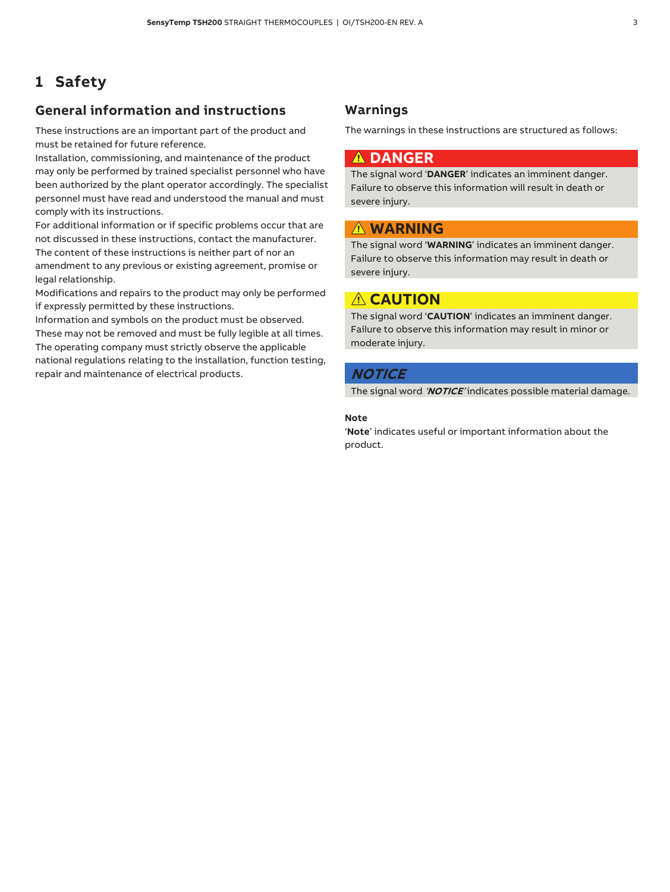## **1 Safety**

### **General information and instructions**

These instructions are an important part of the product and must be retained for future reference.

Installation, commissioning, and maintenance of the product may only be performed by trained specialist personnel who have been authorized by the plant operator accordingly. The specialist personnel must have read and understood the manual and must comply with its instructions.

For additional information or if specific problems occur that are not discussed in these instructions, contact the manufacturer. The content of these instructions is neither part of nor an amendment to any previous or existing agreement, promise or legal relationship.

Modifications and repairs to the product may only be performed if expressly permitted by these instructions.

Information and symbols on the product must be observed. These may not be removed and must be fully legible at all times. The operating company must strictly observe the applicable national regulations relating to the installation, function testing, repair and maintenance of electrical products.

### **Warnings**

The warnings in these instructions are structured as follows:

### **DANGER**

The signal word '**DANGER**' indicates an imminent danger. Failure to observe this information will result in death or severe injury.

### **WARNING**

The signal word '**WARNING**' indicates an imminent danger. Failure to observe this information may result in death or severe injury.

### A CAUTION

The signal word '**CAUTION**' indicates an imminent danger. Failure to observe this information may result in minor or moderate injury.

#### **NOTICE**

The signal word '**NOTICE**' indicates possible material damage.

#### **Note**

'**Note**' indicates useful or important information about the product.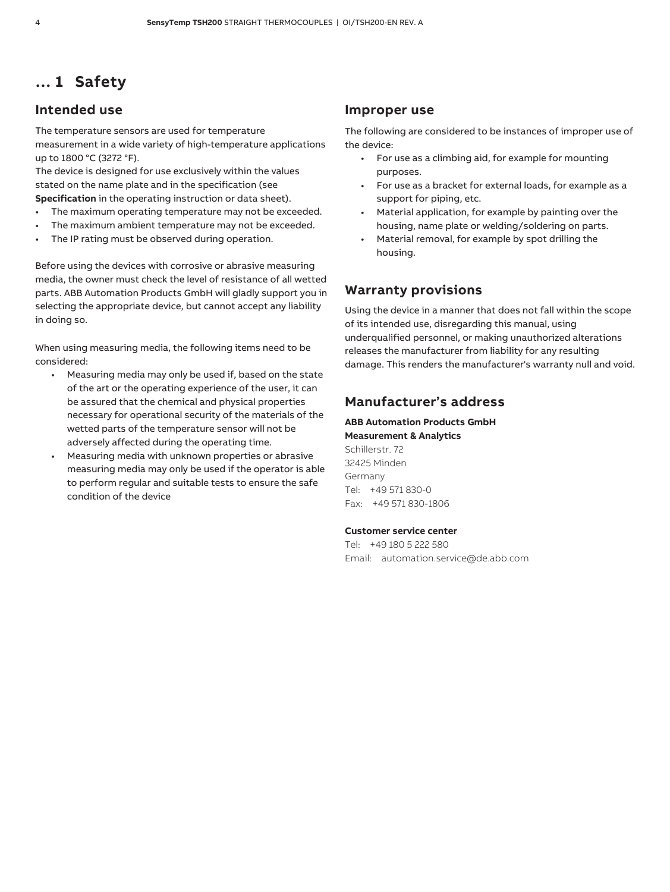## **… 1 Safety**

### **Intended use**

The temperature sensors are used for temperature measurement in a wide variety of high-temperature applications up to 1800 °C (3272 °F).

The device is designed for use exclusively within the values stated on the name plate and in the specification (see

**Specification** in the operating instruction or data sheet).

- The maximum operating temperature may not be exceeded.
- The maximum ambient temperature may not be exceeded.
- The IP rating must be observed during operation.

Before using the devices with corrosive or abrasive measuring media, the owner must check the level of resistance of all wetted parts. ABB Automation Products GmbH will gladly support you in selecting the appropriate device, but cannot accept any liability in doing so.

When using measuring media, the following items need to be considered:

- Measuring media may only be used if, based on the state of the art or the operating experience of the user, it can be assured that the chemical and physical properties necessary for operational security of the materials of the wetted parts of the temperature sensor will not be adversely affected during the operating time.
- Measuring media with unknown properties or abrasive measuring media may only be used if the operator is able to perform regular and suitable tests to ensure the safe condition of the device

#### **Improper use**

The following are considered to be instances of improper use of the device:

- For use as a climbing aid, for example for mounting purposes.
- For use as a bracket for external loads, for example as a support for piping, etc.
- Material application, for example by painting over the housing, name plate or welding/soldering on parts.
- Material removal, for example by spot drilling the housing.

### **Warranty provisions**

Using the device in a manner that does not fall within the scope of its intended use, disregarding this manual, using underqualified personnel, or making unauthorized alterations releases the manufacturer from liability for any resulting damage. This renders the manufacturer's warranty null and void.

### **Manufacturer's address**

## **ABB Automation Products GmbH**

**Measurement & Analytics**  Schillerstr. 72 32425 Minden Germany Tel: +49 571 830-0 Fax: +49 571 830-1806

#### **Customer service center**

Tel: +49 180 5 222 580 Email: automation.service@de.abb.com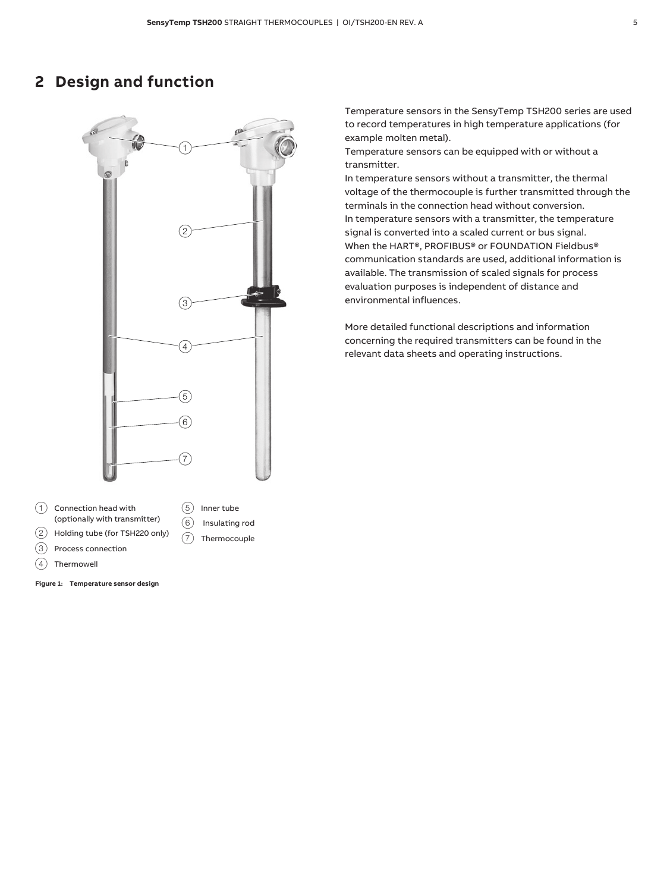## **2 Design and function**



7 Thermocouple

 $(1)$  Connection head with (optionally with transmitter)

- 2 Holding tube (for TSH220 only) 3 Process connection
- $(4)$  Thermowell

**Figure 1: Temperature sensor design** 

Temperature sensors in the SensyTemp TSH200 series are used to record temperatures in high temperature applications (for example molten metal).

Temperature sensors can be equipped with or without a transmitter.

In temperature sensors without a transmitter, the thermal voltage of the thermocouple is further transmitted through the terminals in the connection head without conversion. In temperature sensors with a transmitter, the temperature signal is converted into a scaled current or bus signal. When the HART®, PROFIBUS® or FOUNDATION Fieldbus® communication standards are used, additional information is available. The transmission of scaled signals for process evaluation purposes is independent of distance and environmental influences.

More detailed functional descriptions and information concerning the required transmitters can be found in the relevant data sheets and operating instructions.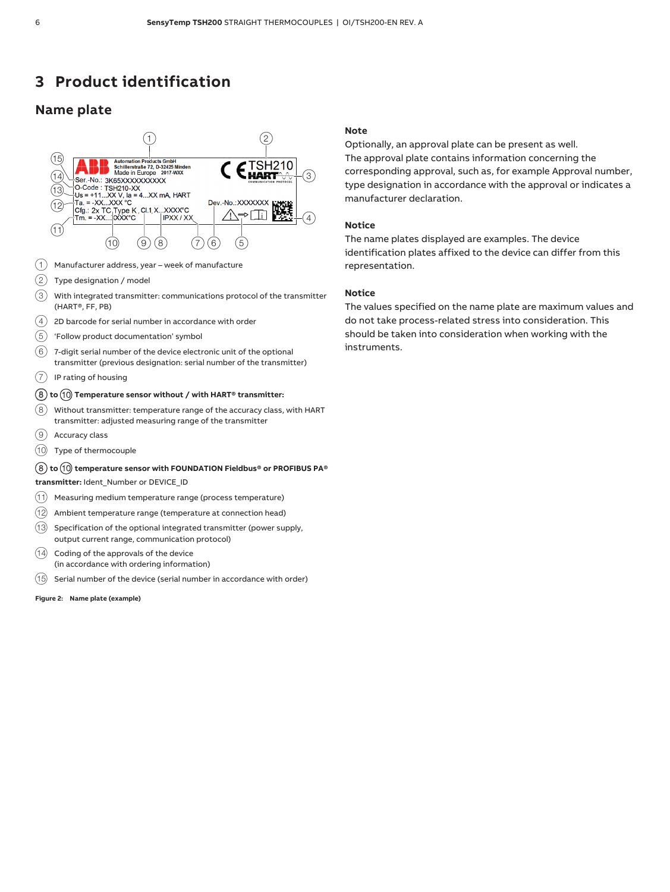## **3 Product identification**

### **Name plate**



- $(1)$  Manufacturer address, year week of manufacture
- $(2)$  Type designation / model
- $\left( \overline{3}\right) \;$  With integrated transmitter: communications protocol of the transmitter (HART®, FF, PB)
- $(4)$  2D barcode for serial number in accordance with order
- $(5)$  'Follow product documentation' symbol
- $\left(6\right)$  7-digit serial number of the device electronic unit of the optional transmitter (previous designation: serial number of the transmitter)
- $(7)$  IP rating of housing

#### 8 **to** 0 **Temperature sensor without / with HART® transmitter:**

- $(8)$  Without transmitter: temperature range of the accuracy class, with <code>HART</code> transmitter: adjusted measuring range of the transmitter
- 9 Accuracy class
- 0 Type of thermocouple

#### 8 **to** 0 **temperature sensor with FOUNDATION Fieldbus® or PROFIBUS PA®**

**transmitter:** Ident\_Number or DEVICE\_ID

- $(h)$  Measuring medium temperature range (process temperature)
- $\left( 12\right)$  Ambient temperature range (temperature at connection head)
- $(13)$  Specification of the optional integrated transmitter (power supply, output current range, communication protocol)
- $(14)$  Coding of the approvals of the device (in accordance with ordering information)
- $(15)$  Serial number of the device (serial number in accordance with order)

**Figure 2: Name plate (example)** 

#### **Note**

Optionally, an approval plate can be present as well. The approval plate contains information concerning the corresponding approval, such as, for example Approval number, type designation in accordance with the approval or indicates a manufacturer declaration.

#### **Notice**

The name plates displayed are examples. The device identification plates affixed to the device can differ from this representation.

#### **Notice**

The values specified on the name plate are maximum values and do not take process-related stress into consideration. This should be taken into consideration when working with the instruments.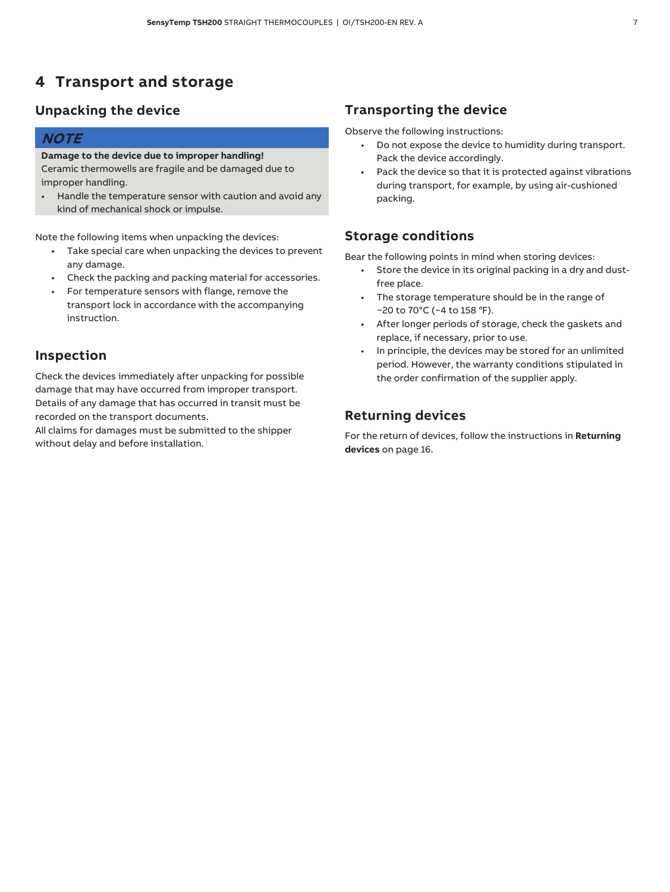## **4 Transport and storage**

### **Unpacking the device**

### **NOTE**

### **Damage to the device due to improper handling!**

Ceramic thermowells are fragile and be damaged due to improper handling.

• Handle the temperature sensor with caution and avoid any kind of mechanical shock or impulse.

Note the following items when unpacking the devices:

- Take special care when unpacking the devices to prevent any damage.
- Check the packing and packing material for accessories.
- For temperature sensors with flange, remove the transport lock in accordance with the accompanying instruction.

### **Inspection**

Check the devices immediately after unpacking for possible damage that may have occurred from improper transport. Details of any damage that has occurred in transit must be recorded on the transport documents.

All claims for damages must be submitted to the shipper without delay and before installation.

### **Transporting the device**

Observe the following instructions:

- Do not expose the device to humidity during transport. Pack the device accordingly.
- Pack the device so that it is protected against vibrations during transport, for example, by using air-cushioned packing.

### **Storage conditions**

Bear the following points in mind when storing devices:

- Store the device in its original packing in a dry and dustfree place.
- The storage temperature should be in the range of  $-20$  to 70°C (-4 to 158 °F).
- After longer periods of storage, check the gaskets and replace, if necessary, prior to use.
- In principle, the devices may be stored for an unlimited period. However, the warranty conditions stipulated in the order confirmation of the supplier apply.

### **Returning devices**

For the return of devices, follow the instructions in **Returning devices** on page 16.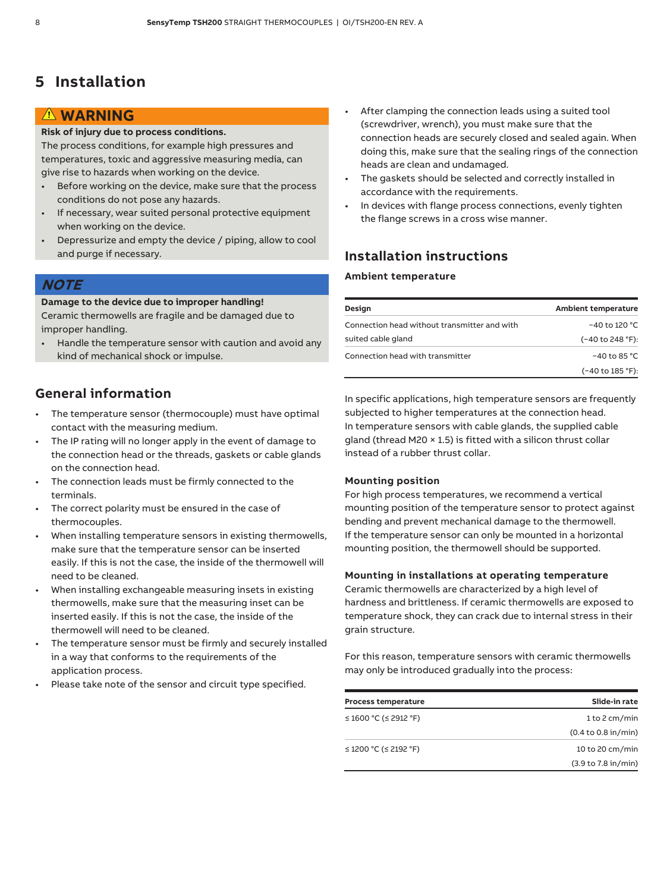## **5 Installation**

### **WARNING**

#### **Risk of injury due to process conditions.**

The process conditions, for example high pressures and temperatures, toxic and aggressive measuring media, can give rise to hazards when working on the device.

- Before working on the device, make sure that the process conditions do not pose any hazards.
- If necessary, wear suited personal protective equipment when working on the device.
- Depressurize and empty the device / piping, allow to cool and purge if necessary.

### **NOTE**

#### **Damage to the device due to improper handling!**

Ceramic thermowells are fragile and be damaged due to improper handling.

• Handle the temperature sensor with caution and avoid any kind of mechanical shock or impulse.

### **General information**

- The temperature sensor (thermocouple) must have optimal contact with the measuring medium.
- The IP rating will no longer apply in the event of damage to the connection head or the threads, gaskets or cable glands on the connection head.
- The connection leads must be firmly connected to the terminals.
- The correct polarity must be ensured in the case of thermocouples.
- When installing temperature sensors in existing thermowells, make sure that the temperature sensor can be inserted easily. If this is not the case, the inside of the thermowell will need to be cleaned.
- When installing exchangeable measuring insets in existing thermowells, make sure that the measuring inset can be inserted easily. If this is not the case, the inside of the thermowell will need to be cleaned.
- The temperature sensor must be firmly and securely installed in a way that conforms to the requirements of the application process.
- Please take note of the sensor and circuit type specified.
- After clamping the connection leads using a suited tool (screwdriver, wrench), you must make sure that the connection heads are securely closed and sealed again. When doing this, make sure that the sealing rings of the connection heads are clean and undamaged.
- The gaskets should be selected and correctly installed in accordance with the requirements.
- In devices with flange process connections, evenly tighten the flange screws in a cross wise manner.

### **Installation instructions**

#### **Ambient temperature**

| Design                                       | <b>Ambient temperature</b> |
|----------------------------------------------|----------------------------|
| Connection head without transmitter and with | -40 to 120 °C              |
| suited cable gland                           | (-40 to 248 °F):           |
| Connection head with transmitter             | $-40$ to 85 °C             |
|                                              | (-40 to 185 °F):           |

In specific applications, high temperature sensors are frequently subjected to higher temperatures at the connection head. In temperature sensors with cable glands, the supplied cable gland (thread M20 × 1.5) is fitted with a silicon thrust collar instead of a rubber thrust collar.

#### **Mounting position**

For high process temperatures, we recommend a vertical mounting position of the temperature sensor to protect against bending and prevent mechanical damage to the thermowell. If the temperature sensor can only be mounted in a horizontal mounting position, the thermowell should be supported.

#### **Mounting in installations at operating temperature**

Ceramic thermowells are characterized by a high level of hardness and brittleness. If ceramic thermowells are exposed to temperature shock, they can crack due to internal stress in their grain structure.

For this reason, temperature sensors with ceramic thermowells may only be introduced gradually into the process:

| <b>Process temperature</b> | Slide-in rate                          |
|----------------------------|----------------------------------------|
| ≤ 1600 °C (≤ 2912 °F)      | 1 to 2 cm/min                          |
|                            | $(0.4 \text{ to } 0.8 \text{ in/min})$ |
| ≤ 1200 °C (≤ 2192 °F)      | 10 to 20 cm/min                        |
|                            | (3.9 to 7.8 in/min)                    |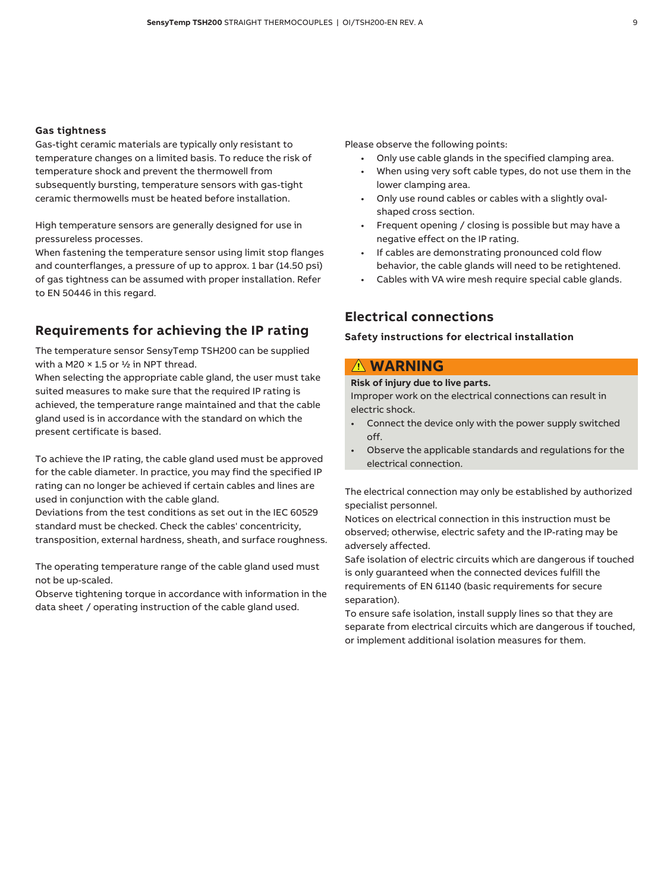#### **Gas tightness**

Gas-tight ceramic materials are typically only resistant to temperature changes on a limited basis. To reduce the risk of temperature shock and prevent the thermowell from subsequently bursting, temperature sensors with gas-tight ceramic thermowells must be heated before installation.

High temperature sensors are generally designed for use in pressureless processes.

When fastening the temperature sensor using limit stop flanges and counterflanges, a pressure of up to approx. 1 bar (14.50 psi) of gas tightness can be assumed with proper installation. Refer to EN 50446 in this regard.

### **Requirements for achieving the IP rating**

The temperature sensor SensyTemp TSH200 can be supplied with a M20  $\times$  1.5 or  $\frac{1}{2}$  in NPT thread.

When selecting the appropriate cable gland, the user must take suited measures to make sure that the required IP rating is achieved, the temperature range maintained and that the cable gland used is in accordance with the standard on which the present certificate is based.

To achieve the IP rating, the cable gland used must be approved for the cable diameter. In practice, you may find the specified IP rating can no longer be achieved if certain cables and lines are used in conjunction with the cable gland.

Deviations from the test conditions as set out in the IEC 60529 standard must be checked. Check the cables' concentricity, transposition, external hardness, sheath, and surface roughness.

The operating temperature range of the cable gland used must not be up-scaled.

Observe tightening torque in accordance with information in the data sheet / operating instruction of the cable gland used.

Please observe the following points:

- Only use cable glands in the specified clamping area.
- When using very soft cable types, do not use them in the lower clamping area.
- Only use round cables or cables with a slightly ovalshaped cross section.
- Frequent opening / closing is possible but may have a negative effect on the IP rating.
- If cables are demonstrating pronounced cold flow behavior, the cable glands will need to be retightened.
- Cables with VA wire mesh require special cable glands.

### **Electrical connections**

#### **Safety instructions for electrical installation**

### **WARNING**

**Risk of injury due to live parts.** 

Improper work on the electrical connections can result in electric shock.

- Connect the device only with the power supply switched off.
- Observe the applicable standards and regulations for the electrical connection.

The electrical connection may only be established by authorized specialist personnel.

Notices on electrical connection in this instruction must be observed; otherwise, electric safety and the IP-rating may be adversely affected.

Safe isolation of electric circuits which are dangerous if touched is only guaranteed when the connected devices fulfill the requirements of EN 61140 (basic requirements for secure separation).

To ensure safe isolation, install supply lines so that they are separate from electrical circuits which are dangerous if touched, or implement additional isolation measures for them.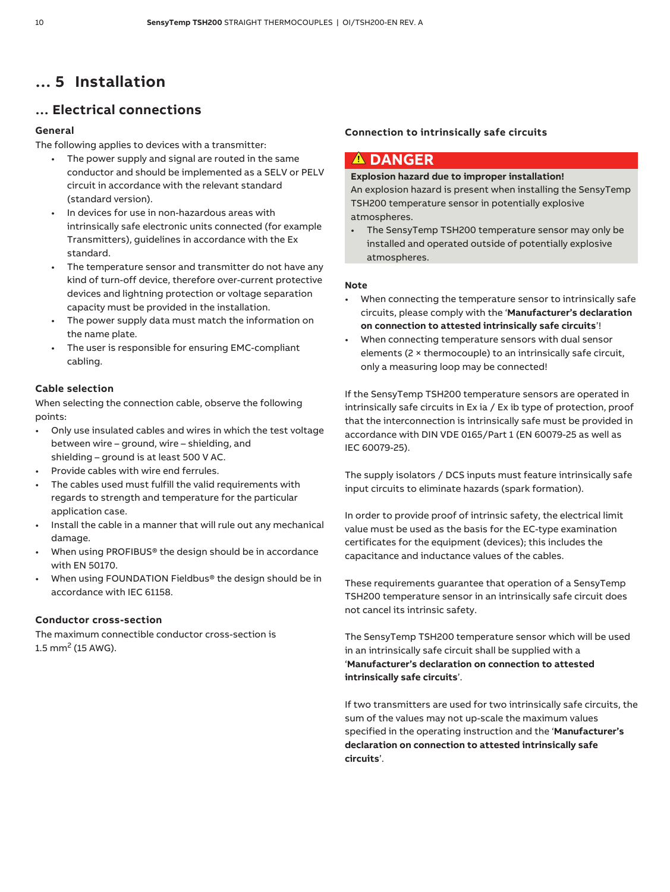## **… 5 Installation**

### **… Electrical connections**

#### **General**

The following applies to devices with a transmitter:

- The power supply and signal are routed in the same conductor and should be implemented as a SELV or PELV circuit in accordance with the relevant standard (standard version).
- In devices for use in non-hazardous areas with intrinsically safe electronic units connected (for example Transmitters), guidelines in accordance with the Ex standard.
- The temperature sensor and transmitter do not have any kind of turn-off device, therefore over-current protective devices and lightning protection or voltage separation capacity must be provided in the installation.
- The power supply data must match the information on the name plate.
- The user is responsible for ensuring EMC-compliant cabling.

#### **Cable selection**

When selecting the connection cable, observe the following points:

- Only use insulated cables and wires in which the test voltage between wire – ground, wire – shielding, and shielding – ground is at least 500 V AC.
- Provide cables with wire end ferrules.
- The cables used must fulfill the valid requirements with regards to strength and temperature for the particular application case.
- Install the cable in a manner that will rule out any mechanical damage.
- When using PROFIBUS® the design should be in accordance with EN 50170.
- When using FOUNDATION Fieldbus® the design should be in accordance with IEC 61158.

#### **Conductor cross-section**

The maximum connectible conductor cross-section is  $1.5$  mm<sup>2</sup> (15 AWG).

#### **Connection to intrinsically safe circuits**

### **DANGER**

#### **Explosion hazard due to improper installation!**

An explosion hazard is present when installing the SensyTemp TSH200 temperature sensor in potentially explosive atmospheres.

• The SensyTemp TSH200 temperature sensor may only be installed and operated outside of potentially explosive atmospheres.

#### **Note**

- When connecting the temperature sensor to intrinsically safe circuits, please comply with the '**Manufacturer's declaration on connection to attested intrinsically safe circuits**'!
- When connecting temperature sensors with dual sensor elements (2 × thermocouple) to an intrinsically safe circuit, only a measuring loop may be connected!

If the SensyTemp TSH200 temperature sensors are operated in intrinsically safe circuits in Ex ia / Ex ib type of protection, proof that the interconnection is intrinsically safe must be provided in accordance with DIN VDE 0165/Part 1 (EN 60079-25 as well as IEC 60079-25).

The supply isolators / DCS inputs must feature intrinsically safe input circuits to eliminate hazards (spark formation).

In order to provide proof of intrinsic safety, the electrical limit value must be used as the basis for the EC-type examination certificates for the equipment (devices); this includes the capacitance and inductance values of the cables.

These requirements guarantee that operation of a SensyTemp TSH200 temperature sensor in an intrinsically safe circuit does not cancel its intrinsic safety.

The SensyTemp TSH200 temperature sensor which will be used in an intrinsically safe circuit shall be supplied with a '**Manufacturer's declaration on connection to attested intrinsically safe circuits**'.

If two transmitters are used for two intrinsically safe circuits, the sum of the values may not up-scale the maximum values specified in the operating instruction and the '**Manufacturer's declaration on connection to attested intrinsically safe circuits**'.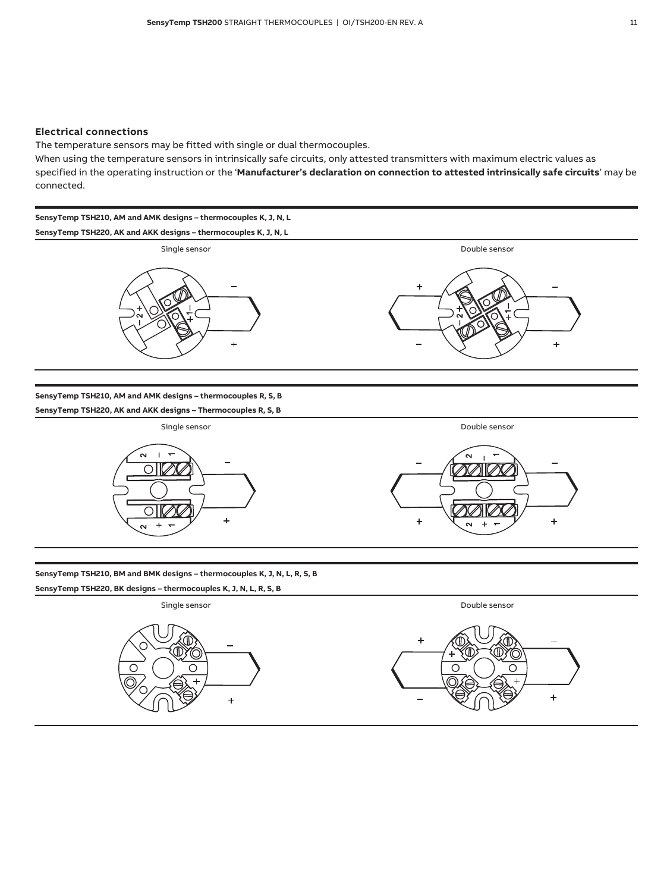#### **Electrical connections**

The temperature sensors may be fitted with single or dual thermocouples.

When using the temperature sensors in intrinsically safe circuits, only attested transmitters with maximum electric values as specified in the operating instruction or the '**Manufacturer's declaration on connection to attested intrinsically safe circuits**' may be connected.

**SensyTemp TSH210, AM and AMK designs – thermocouples K, J, N, L SensyTemp TSH220, AK and AKK designs – thermocouples K, J, N, L** 





**SensyTemp TSH210, AM and AMK designs – thermocouples R, S, B** 

**SensyTemp TSH220, AK and AKK designs – Thermocouples R, S, B** 



**SensyTemp TSH210, BM and BMK designs – thermocouples K, J, N, L, R, S, B** 

**SensyTemp TSH220, BK designs – thermocouples K, J, N, L, R, S, B** 

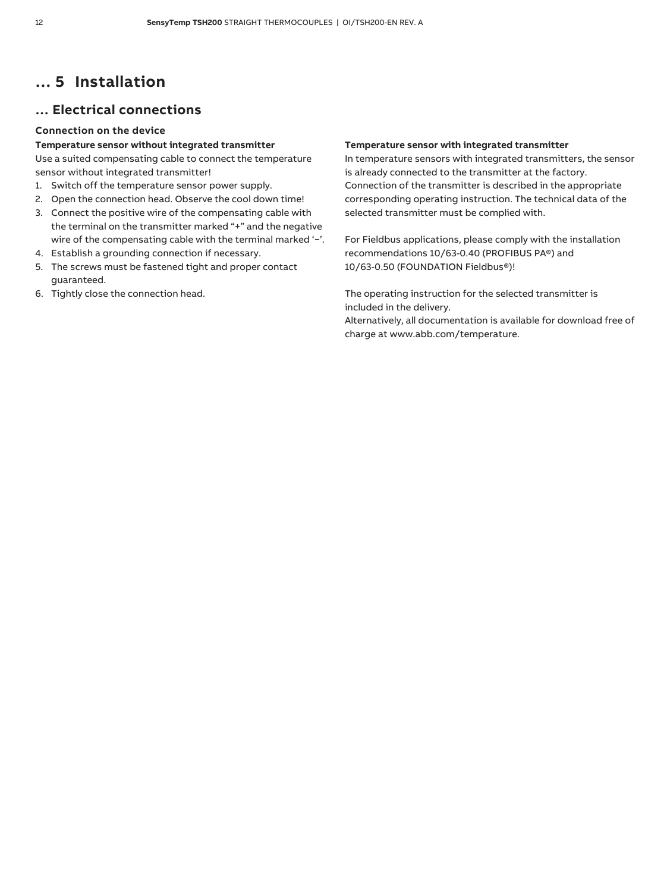## **… 5 Installation**

### **… Electrical connections**

#### **Connection on the device**

#### **Temperature sensor without integrated transmitter**

Use a suited compensating cable to connect the temperature sensor without integrated transmitter!

- 1. Switch off the temperature sensor power supply.
- 2. Open the connection head. Observe the cool down time!
- 3. Connect the positive wire of the compensating cable with the terminal on the transmitter marked "+" and the negative wire of the compensating cable with the terminal marked '-'.
- 4. Establish a grounding connection if necessary.
- 5. The screws must be fastened tight and proper contact guaranteed.
- 6. Tightly close the connection head.

#### **Temperature sensor with integrated transmitter**

In temperature sensors with integrated transmitters, the sensor is already connected to the transmitter at the factory. Connection of the transmitter is described in the appropriate corresponding operating instruction. The technical data of the selected transmitter must be complied with.

For Fieldbus applications, please comply with the installation recommendations 10/63-0.40 (PROFIBUS PA®) and 10/63-0.50 (FOUNDATION Fieldbus®)!

The operating instruction for the selected transmitter is included in the delivery.

Alternatively, all documentation is available for download free of charge at www.abb.com/temperature.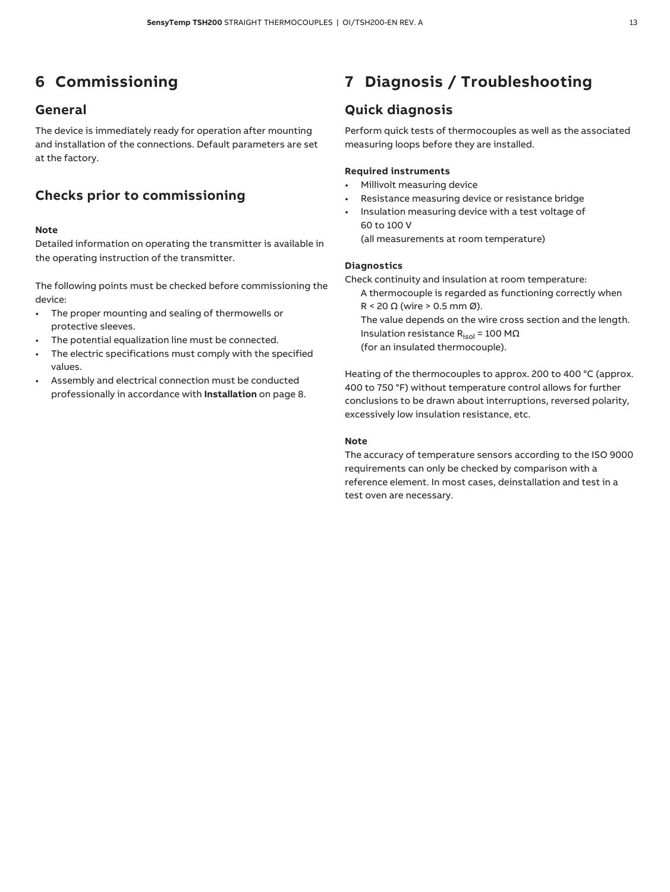## **6 Commissioning**

### **General**

The device is immediately ready for operation after mounting and installation of the connections. Default parameters are set at the factory.

### **Checks prior to commissioning**

#### **Note**

Detailed information on operating the transmitter is available in the operating instruction of the transmitter.

The following points must be checked before commissioning the device:

- The proper mounting and sealing of thermowells or protective sleeves.
- The potential equalization line must be connected.
- The electric specifications must comply with the specified values.
- Assembly and electrical connection must be conducted professionally in accordance with **Installation** on page 8.

## **7 Diagnosis / Troubleshooting**

### **Quick diagnosis**

Perform quick tests of thermocouples as well as the associated measuring loops before they are installed.

#### **Required instruments**

- Millivolt measuring device
- Resistance measuring device or resistance bridge
- Insulation measuring device with a test voltage of 60 to 100 V (all measurements at room temperature)

#### **Diagnostics**

Check continuity and insulation at room temperature:

A thermocouple is regarded as functioning correctly when R < 20  $\Omega$  (wire > 0.5 mm Ø).

The value depends on the wire cross section and the length. Insulation resistance  $R_{\rm isol}$  = 100 M $\Omega$ (for an insulated thermocouple).

Heating of the thermocouples to approx. 200 to 400 °C (approx. 400 to 750 °F) without temperature control allows for further conclusions to be drawn about interruptions, reversed polarity, excessively low insulation resistance, etc.

#### **Note**

The accuracy of temperature sensors according to the ISO 9000 requirements can only be checked by comparison with a reference element. In most cases, deinstallation and test in a test oven are necessary.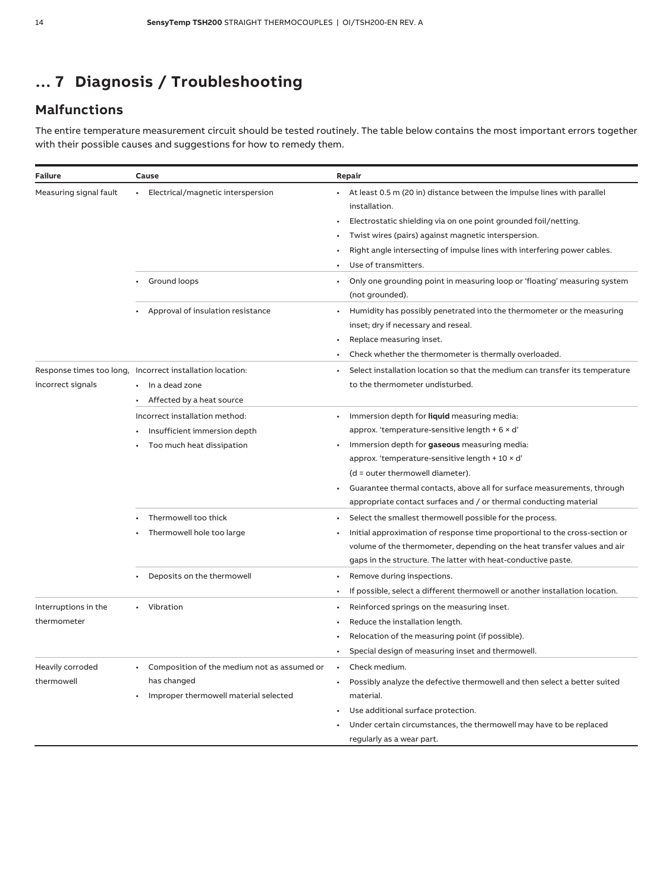## **… 7 Diagnosis / Troubleshooting**

## **Malfunctions**

The entire temperature measurement circuit should be tested routinely. The table below contains the most important errors together with their possible causes and suggestions for how to remedy them.

| Failure                             | Cause                                                                                                    | Repair                                                                                                                                                                                                                                                                                                                                                                                                                 |
|-------------------------------------|----------------------------------------------------------------------------------------------------------|------------------------------------------------------------------------------------------------------------------------------------------------------------------------------------------------------------------------------------------------------------------------------------------------------------------------------------------------------------------------------------------------------------------------|
| Measuring signal fault              | Electrical/magnetic interspersion<br>$\bullet$                                                           | At least 0.5 m (20 in) distance between the impulse lines with parallel<br>installation.<br>Electrostatic shielding via on one point grounded foil/netting.<br>Twist wires (pairs) against magnetic interspersion.<br>Right angle intersecting of impulse lines with interfering power cables.<br>Use of transmitters.                                                                                                 |
|                                     | Ground loops                                                                                             | Only one grounding point in measuring loop or 'floating' measuring system<br>(not grounded).                                                                                                                                                                                                                                                                                                                           |
|                                     | Approval of insulation resistance                                                                        | Humidity has possibly penetrated into the thermometer or the measuring<br>inset; dry if necessary and reseal.<br>Replace measuring inset.<br>Check whether the thermometer is thermally overloaded.                                                                                                                                                                                                                    |
| incorrect signals                   | Response times too long, Incorrect installation location:<br>In a dead zone<br>Affected by a heat source | Select installation location so that the medium can transfer its temperature<br>to the thermometer undisturbed.                                                                                                                                                                                                                                                                                                        |
|                                     | Incorrect installation method:<br>Insufficient immersion depth<br>Too much heat dissipation              | Immersion depth for <b>liquid</b> measuring media:<br>$\bullet$<br>approx. 'temperature-sensitive length $+6 \times d'$<br>Immersion depth for gaseous measuring media:<br>approx. 'temperature-sensitive length $+10 \times d'$<br>$(d = outer$ thermowell diameter).<br>Guarantee thermal contacts, above all for surface measurements, through<br>appropriate contact surfaces and / or thermal conducting material |
|                                     | Thermowell too thick<br>Thermowell hole too large                                                        | Select the smallest thermowell possible for the process.<br>Initial approximation of response time proportional to the cross-section or<br>volume of the thermometer, depending on the heat transfer values and air<br>gaps in the structure. The latter with heat-conductive paste.                                                                                                                                   |
|                                     | Deposits on the thermowell                                                                               | Remove during inspections.<br>If possible, select a different thermowell or another installation location.                                                                                                                                                                                                                                                                                                             |
| Interruptions in the<br>thermometer | • Vibration                                                                                              | Reinforced springs on the measuring inset.<br>Reduce the installation length.<br>Relocation of the measuring point (if possible).<br>Special design of measuring inset and thermowell.                                                                                                                                                                                                                                 |
| Heavily corroded<br>thermowell      | Composition of the medium not as assumed or<br>has changed<br>Improper thermowell material selected      | Check medium.<br>Possibly analyze the defective thermowell and then select a better suited<br>material.<br>Use additional surface protection.<br>Under certain circumstances, the thermowell may have to be replaced<br>regularly as a wear part.                                                                                                                                                                      |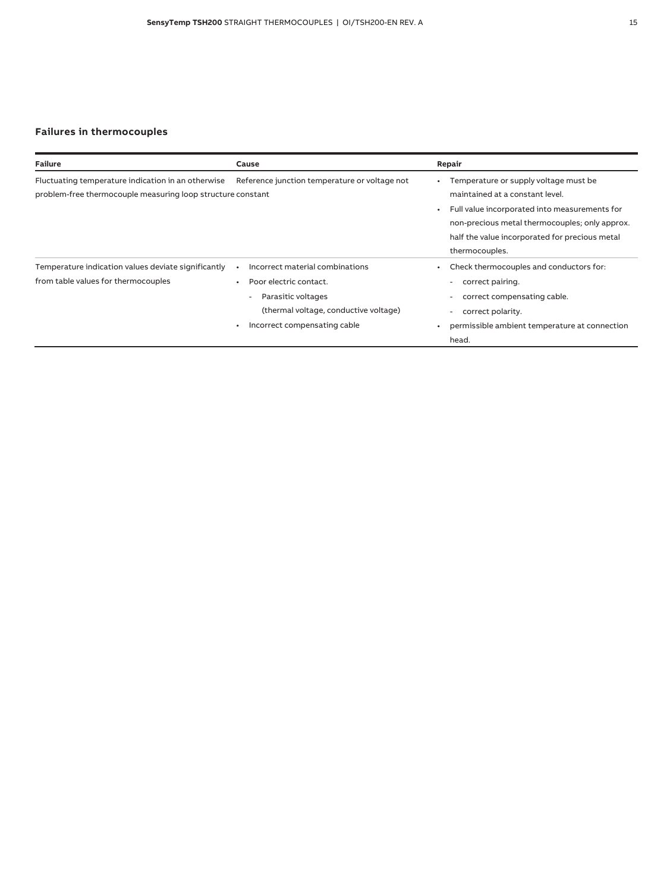### **Failures in thermocouples**

| <b>Failure</b>                                                                                                    | Cause                                                                                                                                                              | Repair                                                                                                                                                                                                                                          |
|-------------------------------------------------------------------------------------------------------------------|--------------------------------------------------------------------------------------------------------------------------------------------------------------------|-------------------------------------------------------------------------------------------------------------------------------------------------------------------------------------------------------------------------------------------------|
| Fluctuating temperature indication in an otherwise<br>problem-free thermocouple measuring loop structure constant | Reference junction temperature or voltage not                                                                                                                      | Temperature or supply voltage must be<br>maintained at a constant level.<br>Full value incorporated into measurements for<br>non-precious metal thermocouples; only approx.<br>half the value incorporated for precious metal<br>thermocouples. |
| Temperature indication values deviate significantly<br>from table values for thermocouples                        | Incorrect material combinations<br>Poor electric contact.<br>Parasitic voltages<br>$\sim$<br>(thermal voltage, conductive voltage)<br>Incorrect compensating cable | Check thermocouples and conductors for:<br>correct pairing.<br>۰<br>correct compensating cable.<br>۰<br>correct polarity.<br>٠<br>permissible ambient temperature at connection<br>head.                                                        |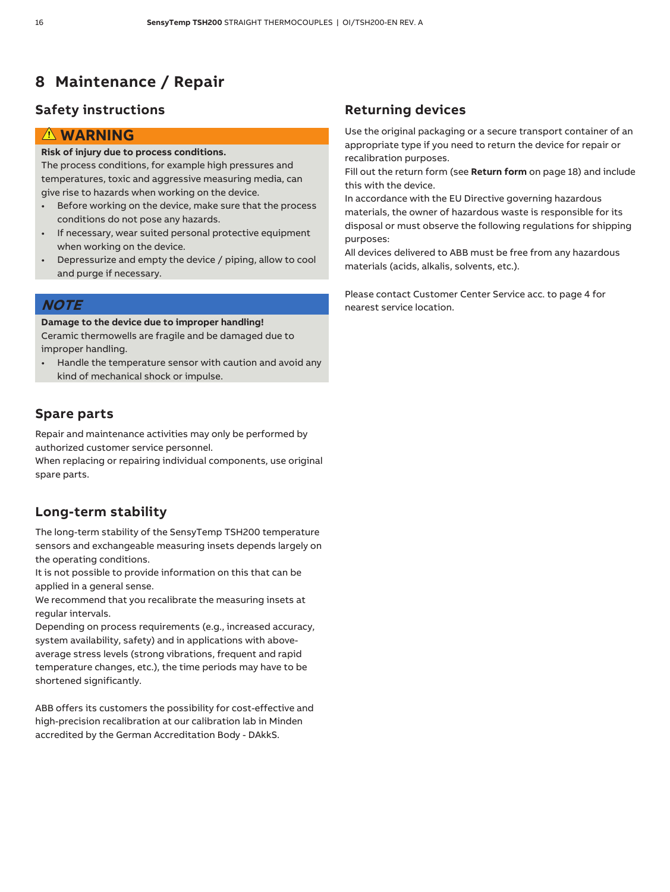## **8 Maintenance / Repair**

### **Safety instructions**

### **WARNING**

### **Risk of injury due to process conditions.**

The process conditions, for example high pressures and temperatures, toxic and aggressive measuring media, can give rise to hazards when working on the device.

- Before working on the device, make sure that the process conditions do not pose any hazards.
- If necessary, wear suited personal protective equipment when working on the device.
- Depressurize and empty the device / piping, allow to cool and purge if necessary.

### **NOTE**

#### **Damage to the device due to improper handling!**

Ceramic thermowells are fragile and be damaged due to improper handling.

• Handle the temperature sensor with caution and avoid any kind of mechanical shock or impulse.

### **Spare parts**

Repair and maintenance activities may only be performed by authorized customer service personnel.

When replacing or repairing individual components, use original spare parts.

### **Long-term stability**

The long-term stability of the SensyTemp TSH200 temperature sensors and exchangeable measuring insets depends largely on the operating conditions.

It is not possible to provide information on this that can be applied in a general sense.

We recommend that you recalibrate the measuring insets at regular intervals.

Depending on process requirements (e.g., increased accuracy, system availability, safety) and in applications with aboveaverage stress levels (strong vibrations, frequent and rapid temperature changes, etc.), the time periods may have to be shortened significantly.

ABB offers its customers the possibility for cost-effective and high-precision recalibration at our calibration lab in Minden accredited by the German Accreditation Body - DAkkS.

### **Returning devices**

Use the original packaging or a secure transport container of an appropriate type if you need to return the device for repair or recalibration purposes.

Fill out the return form (see **Return form** on page 18) and include this with the device.

In accordance with the EU Directive governing hazardous materials, the owner of hazardous waste is responsible for its disposal or must observe the following regulations for shipping purposes:

All devices delivered to ABB must be free from any hazardous materials (acids, alkalis, solvents, etc.).

Please contact Customer Center Service acc. to page 4 for nearest service location.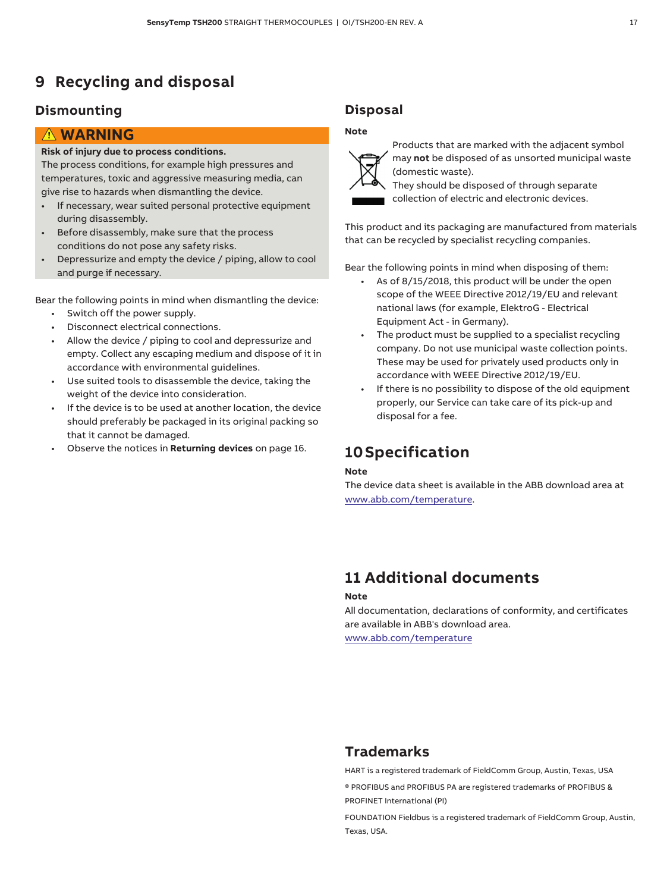## **9 Recycling and disposal**

### **Dismounting**

### **WARNING**

#### **Risk of injury due to process conditions.**

The process conditions, for example high pressures and temperatures, toxic and aggressive measuring media, can give rise to hazards when dismantling the device.

- If necessary, wear suited personal protective equipment during disassembly.
- Before disassembly, make sure that the process conditions do not pose any safety risks.
- Depressurize and empty the device / piping, allow to cool and purge if necessary.

Bear the following points in mind when dismantling the device:

- Switch off the power supply.
- Disconnect electrical connections.
- Allow the device / piping to cool and depressurize and empty. Collect any escaping medium and dispose of it in accordance with environmental guidelines.
- Use suited tools to disassemble the device, taking the weight of the device into consideration.
- If the device is to be used at another location, the device should preferably be packaged in its original packing so that it cannot be damaged.
- Observe the notices in **Returning devices** on page 16.

### **Disposal**

#### **Note**



Products that are marked with the adjacent symbol may **not** be disposed of as unsorted municipal waste (domestic waste).

They should be disposed of through separate collection of electric and electronic devices.

This product and its packaging are manufactured from materials that can be recycled by specialist recycling companies.

Bear the following points in mind when disposing of them:

- As of 8/15/2018, this product will be under the open scope of the WEEE Directive 2012/19/EU and relevant national laws (for example, ElektroG - Electrical Equipment Act - in Germany).
- The product must be supplied to a specialist recycling company. Do not use municipal waste collection points. These may be used for privately used products only in accordance with WEEE Directive 2012/19/EU.
- If there is no possibility to dispose of the old equipment properly, our Service can take care of its pick-up and disposal for a fee.

## **10Specification**

#### **Note**

The device data sheet is available in the ABB download area at www.abb.com/temperature.

## **11 Additional documents**

#### **Note**

All documentation, declarations of conformity, and certificates are available in ABB's download area. www.abb.com/temperature

## **Trademarks**

HART is a registered trademark of FieldComm Group, Austin, Texas, USA

® PROFIBUS and PROFIBUS PA are registered trademarks of PROFIBUS & PROFINET International (PI)

FOUNDATION Fieldbus is a registered trademark of FieldComm Group, Austin, Texas, USA.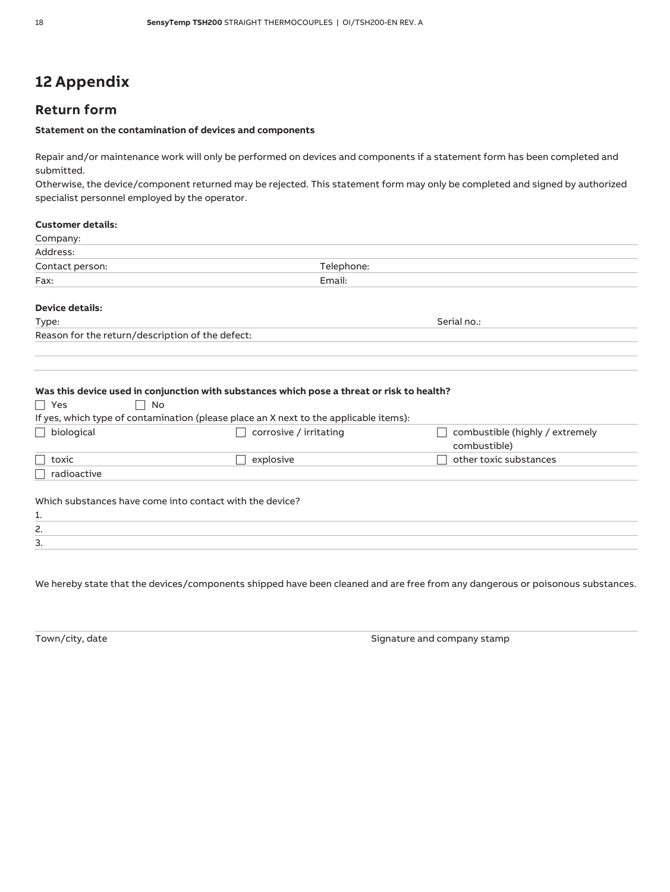## **12 Appendix**

### **Return form**

#### **Statement on the contamination of devices and components**

Repair and/or maintenance work will only be performed on devices and components if a statement form has been completed and submitted.

Otherwise, the device/component returned may be rejected. This statement form may only be completed and signed by authorized specialist personnel employed by the operator.

#### **Customer details:**

| Company:        |            |  |
|-----------------|------------|--|
| Address:        |            |  |
| Contact person: | Telephone: |  |
| Fax:            | Email:     |  |
|                 |            |  |

### **Device details:**

| Reason for the return/description of the defect: |  |  |
|--------------------------------------------------|--|--|

### Type: Serial no.:

#### **Was this device used in conjunction with substances which pose a threat or risk to health?**

| $\Box$ Yes<br><b>No</b>        |                                                                                       |                                                 |
|--------------------------------|---------------------------------------------------------------------------------------|-------------------------------------------------|
|                                | If yes, which type of contamination (please place an X next to the applicable items): |                                                 |
| $\Box$ biological              | corrosive / irritating                                                                | combustible (highly / extremely<br>combustible) |
| $\overline{\phantom{a}}$ toxic | explosive                                                                             | other toxic substances                          |
| radioactive                    |                                                                                       |                                                 |
|                                | Which substances have come into contact with the device?                              |                                                 |
| 1.                             |                                                                                       |                                                 |
| 2.                             |                                                                                       |                                                 |
| 3.                             |                                                                                       |                                                 |

We hereby state that the devices/components shipped have been cleaned and are free from any dangerous or poisonous substances.

Town/city, date Signature and company stamp stamp stamp stamp stamp stamp stamp stamp stamp stamp stamp stamp stamp stamp stamp stamp stamp stamp stamp stamp stamp stamp stamp stamp stamp stamp stamp stamp stamp stamp stam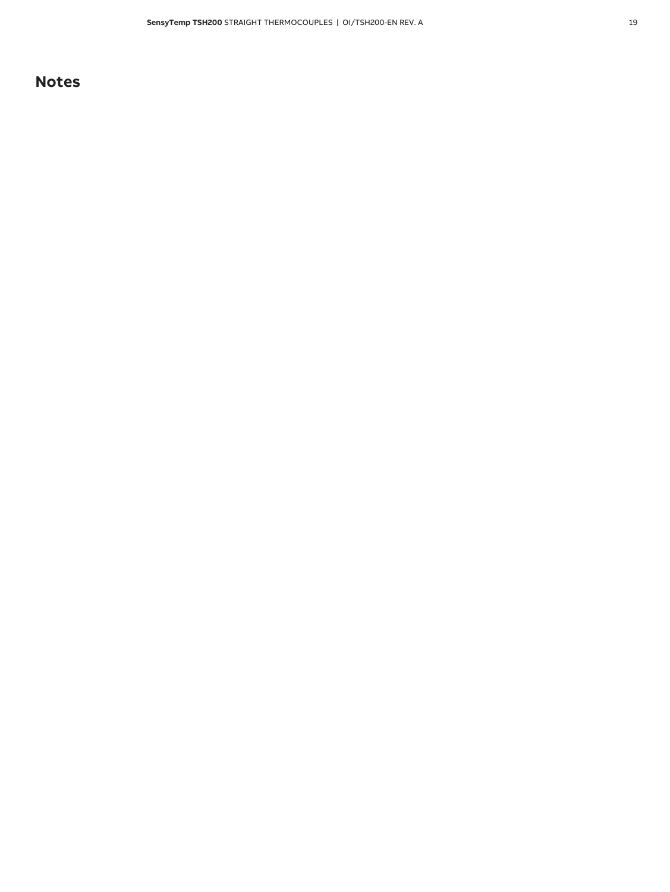## **Notes**